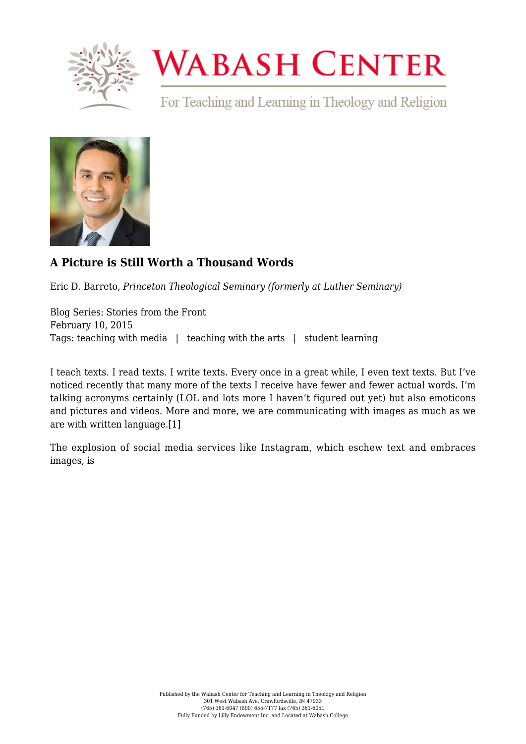

## **WABASH CENTER**

For Teaching and Learning in Theology and Religion



## **[A Picture is Still Worth a Thousand Words](https://www.wabashcenter.wabash.edu/2015/02/a-picture-is-still-worth-a-thousand-words/)**

Eric D. Barreto, *Princeton Theological Seminary (formerly at Luther Seminary)*

Blog Series: Stories from the Front February 10, 2015 Tags: teaching with media | teaching with the arts | student learning

I teach texts. I read texts. I write texts. Every once in a great while, I even text texts. But I've noticed recently that many more of the texts I receive have fewer and fewer actual words. I'm talking acronyms certainly (LOL and lots more I haven't figured out yet) but also emoticons and pictures and videos. More and more, we are communicating with images as much as we are with written language.[\[1\]](#page-2-0)

<span id="page-0-0"></span>The explosion of social media services like Instagram, which eschew text and embraces images, is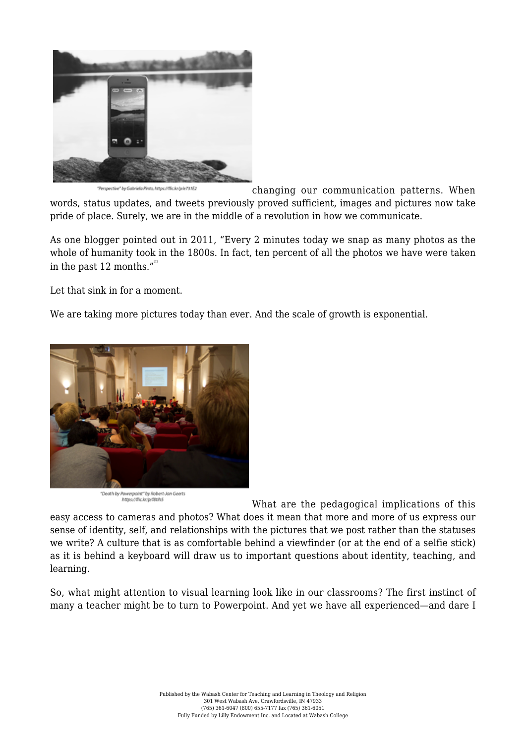

ropective" by Gabriela Pinto, https://flic.kr/p/e731E2 changing our communication patterns. When words, status updates, and tweets previously proved sufficient, images and pictures now take pride of place. Surely, we are in the middle of a revolution in how we communicate.

As one blogger pointed out in 2011, "Every 2 minutes today we snap as many photos as the whole of humanity took in the 1800s. In fact, ten percent of all the photos we have were taken in the past 12 months." $^{\prime\prime}$ 

<span id="page-1-0"></span>Let that sink in for a moment.

We are taking more pictures today than ever. And the scale of growth is exponential.



"Death by Powerpoint" by Robert-Jan Geerts https://flic.kr/p/f8tih5

What are the pedagogical implications of this easy access to cameras and photos? What does it mean that more and more of us express our sense of identity, self, and relationships with the pictures that we post rather than the statuses we write? A culture that is as comfortable behind a viewfinder (or at the end of a selfie stick) as it is behind a keyboard will draw us to important questions about identity, teaching, and learning.

So, what might attention to visual learning look like in our classrooms? The first instinct of many a teacher might be to turn to Powerpoint. And yet we have all experienced—and dare I